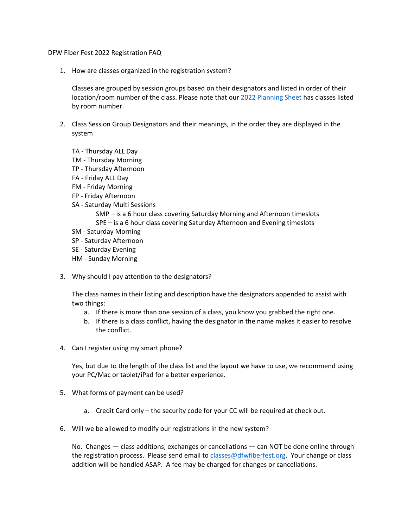DFW Fiber Fest 2022 Registration FAQ

1. How are classes organized in the registration system?

Classes are grouped by session groups based on their designators and listed in order of their location/room number of the class. Please note that our 2022 [Planning](https://www.dfwfiberfest.org/images/2022/Registration%20Planning%20Sheet.pdf) Sheet has classes listed by room number.

- 2. Class Session Group Designators and their meanings, in the order they are displayed in the system
	- TA Thursday ALL Day
	- TM Thursday Morning
	- TP Thursday Afternoon
	- FA Friday ALL Day
	- FM Friday Morning
	- FP Friday Afternoon
	- SA Saturday Multi Sessions
		- SMP is a 6 hour class covering Saturday Morning and Afternoon timeslots SPE – is a 6 hour class covering Saturday Afternoon and Evening timeslots
	- SM Saturday Morning
	- SP Saturday Afternoon
	- SE Saturday Evening
	- HM Sunday Morning
- 3. Why should I pay attention to the designators?

The class names in their listing and description have the designators appended to assist with two things:

- a. If there is more than one session of a class, you know you grabbed the right one.
- b. If there is a class conflict, having the designator in the name makes it easier to resolve the conflict.
- 4. Can I register using my smart phone?

Yes, but due to the length of the class list and the layout we have to use, we recommend using your PC/Mac or tablet/iPad for a better experience.

- 5. What forms of payment can be used?
	- a. Credit Card only the security code for your CC will be required at check out.
- 6. Will we be allowed to modify our registrations in the new system?

No. Changes — class additions, exchanges or cancellations — can NOT be done online through the registration process. Please send email to [classes@dfwfiberfest.org.](mailto:classes@dfwfiberfest.org?subject=Registration%20Change%20Request) Your change or class addition will be handled ASAP. A fee may be charged for changes or cancellations.